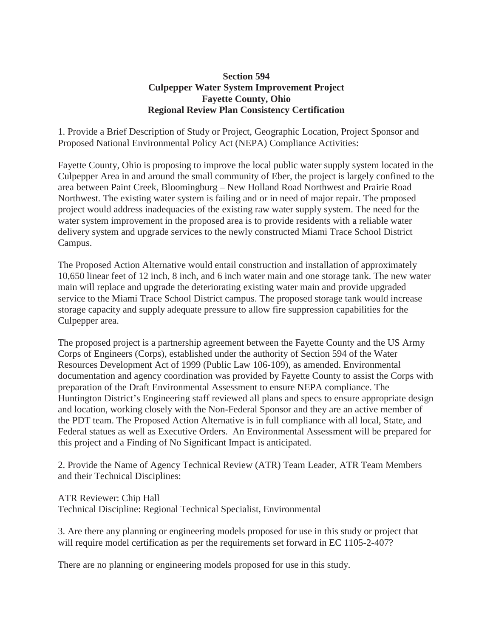## **Section 594 Culpepper Water System Improvement Project Fayette County, Ohio Regional Review Plan Consistency Certification**

1. Provide a Brief Description of Study or Project, Geographic Location, Project Sponsor and Proposed National Environmental Policy Act (NEPA) Compliance Activities:

Fayette County, Ohio is proposing to improve the local public water supply system located in the Culpepper Area in and around the small community of Eber, the project is largely confined to the area between Paint Creek, Bloomingburg – New Holland Road Northwest and Prairie Road Northwest. The existing water system is failing and or in need of major repair. The proposed project would address inadequacies of the existing raw water supply system. The need for the water system improvement in the proposed area is to provide residents with a reliable water delivery system and upgrade services to the newly constructed Miami Trace School District Campus.

The Proposed Action Alternative would entail construction and installation of approximately 10,650 linear feet of 12 inch, 8 inch, and 6 inch water main and one storage tank. The new water main will replace and upgrade the deteriorating existing water main and provide upgraded service to the Miami Trace School District campus. The proposed storage tank would increase storage capacity and supply adequate pressure to allow fire suppression capabilities for the Culpepper area.

The proposed project is a partnership agreement between the Fayette County and the US Army Corps of Engineers (Corps), established under the authority of Section 594 of the Water Resources Development Act of 1999 (Public Law 106-109), as amended. Environmental documentation and agency coordination was provided by Fayette County to assist the Corps with preparation of the Draft Environmental Assessment to ensure NEPA compliance. The Huntington District's Engineering staff reviewed all plans and specs to ensure appropriate design and location, working closely with the Non-Federal Sponsor and they are an active member of the PDT team. The Proposed Action Alternative is in full compliance with all local, State, and Federal statues as well as Executive Orders. An Environmental Assessment will be prepared for this project and a Finding of No Significant Impact is anticipated.

2. Provide the Name of Agency Technical Review (ATR) Team Leader, ATR Team Members and their Technical Disciplines:

ATR Reviewer: Chip Hall

Technical Discipline: Regional Technical Specialist, Environmental

3. Are there any planning or engineering models proposed for use in this study or project that will require model certification as per the requirements set forward in EC 1105-2-407?

There are no planning or engineering models proposed for use in this study.